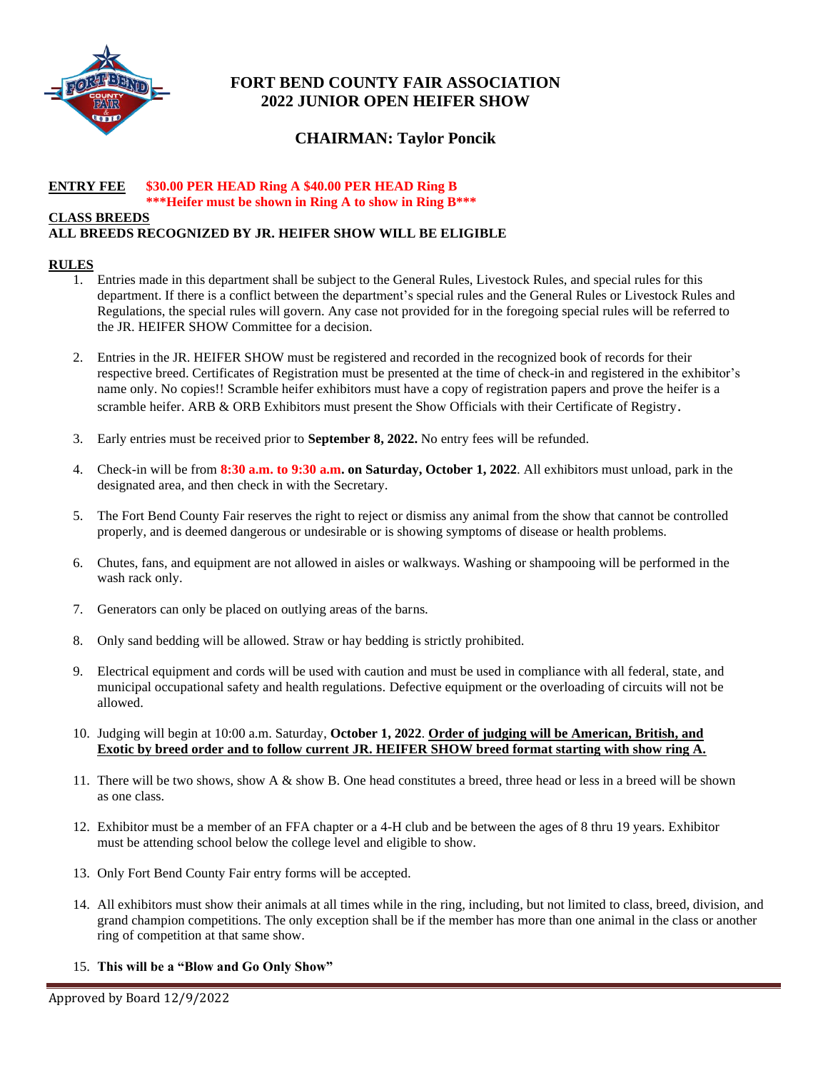

# **FORT BEND COUNTY FAIR ASSOCIATION 2022 JUNIOR OPEN HEIFER SHOW**

# **CHAIRMAN: Taylor Poncik**

#### **ENTRY FEE \$30.00 PER HEAD Ring A \$40.00 PER HEAD Ring B \*\*\*Heifer must be shown in Ring A to show in Ring B\*\*\***

#### **CLASS BREEDS**

# **ALL BREEDS RECOGNIZED BY JR. HEIFER SHOW WILL BE ELIGIBLE**

## **RULES**

- 1. Entries made in this department shall be subject to the General Rules, Livestock Rules, and special rules for this department. If there is a conflict between the department's special rules and the General Rules or Livestock Rules and Regulations, the special rules will govern. Any case not provided for in the foregoing special rules will be referred to the JR. HEIFER SHOW Committee for a decision.
- 2. Entries in the JR. HEIFER SHOW must be registered and recorded in the recognized book of records for their respective breed. Certificates of Registration must be presented at the time of check-in and registered in the exhibitor's name only. No copies!! Scramble heifer exhibitors must have a copy of registration papers and prove the heifer is a scramble heifer. ARB & ORB Exhibitors must present the Show Officials with their Certificate of Registry.
- 3. Early entries must be received prior to **September 8, 2022.** No entry fees will be refunded.
- 4. Check-in will be from **8:30 a.m. to 9:30 a.m. on Saturday, October 1, 2022**. All exhibitors must unload, park in the designated area, and then check in with the Secretary.
- 5. The Fort Bend County Fair reserves the right to reject or dismiss any animal from the show that cannot be controlled properly, and is deemed dangerous or undesirable or is showing symptoms of disease or health problems.
- 6. Chutes, fans, and equipment are not allowed in aisles or walkways. Washing or shampooing will be performed in the wash rack only.
- 7. Generators can only be placed on outlying areas of the barns.
- 8. Only sand bedding will be allowed. Straw or hay bedding is strictly prohibited.
- 9. Electrical equipment and cords will be used with caution and must be used in compliance with all federal, state, and municipal occupational safety and health regulations. Defective equipment or the overloading of circuits will not be allowed.
- 10. Judging will begin at 10:00 a.m. Saturday, **October 1, 2022**. **Order of judging will be American, British, and Exotic by breed order and to follow current JR. HEIFER SHOW breed format starting with show ring A.**
- 11. There will be two shows, show A & show B. One head constitutes a breed, three head or less in a breed will be shown as one class.
- 12. Exhibitor must be a member of an FFA chapter or a 4-H club and be between the ages of 8 thru 19 years. Exhibitor must be attending school below the college level and eligible to show.
- 13. Only Fort Bend County Fair entry forms will be accepted.
- 14. All exhibitors must show their animals at all times while in the ring, including, but not limited to class, breed, division, and grand champion competitions. The only exception shall be if the member has more than one animal in the class or another ring of competition at that same show.
- 15. **This will be a "Blow and Go Only Show"**